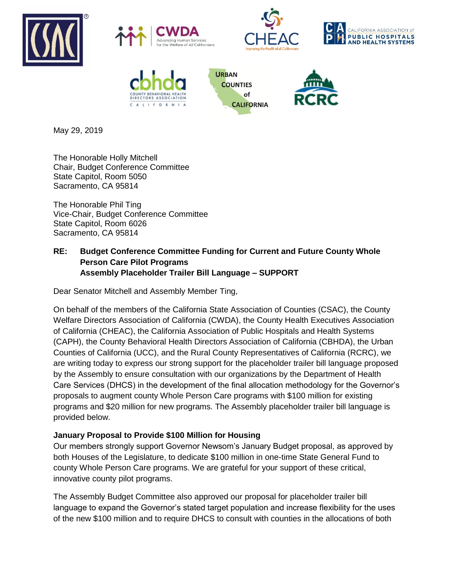









**URBAN COUNTIES** of **CALIFORNIA** 



May 29, 2019

The Honorable Holly Mitchell Chair, Budget Conference Committee State Capitol, Room 5050 Sacramento, CA 95814

The Honorable Phil Ting Vice-Chair, Budget Conference Committee State Capitol, Room 6026 Sacramento, CA 95814

## **RE: Budget Conference Committee Funding for Current and Future County Whole Person Care Pilot Programs Assembly Placeholder Trailer Bill Language – SUPPORT**

Dear Senator Mitchell and Assembly Member Ting,

On behalf of the members of the California State Association of Counties (CSAC), the County Welfare Directors Association of California (CWDA), the County Health Executives Association of California (CHEAC), the California Association of Public Hospitals and Health Systems (CAPH), the County Behavioral Health Directors Association of California (CBHDA), the Urban Counties of California (UCC), and the Rural County Representatives of California (RCRC), we are writing today to express our strong support for the placeholder trailer bill language proposed by the Assembly to ensure consultation with our organizations by the Department of Health Care Services (DHCS) in the development of the final allocation methodology for the Governor's proposals to augment county Whole Person Care programs with \$100 million for existing programs and \$20 million for new programs. The Assembly placeholder trailer bill language is provided below.

# **January Proposal to Provide \$100 Million for Housing**

Our members strongly support Governor Newsom's January Budget proposal, as approved by both Houses of the Legislature, to dedicate \$100 million in one-time State General Fund to county Whole Person Care programs. We are grateful for your support of these critical, innovative county pilot programs.

The Assembly Budget Committee also approved our proposal for placeholder trailer bill language to expand the Governor's stated target population and increase flexibility for the uses of the new \$100 million and to require DHCS to consult with counties in the allocations of both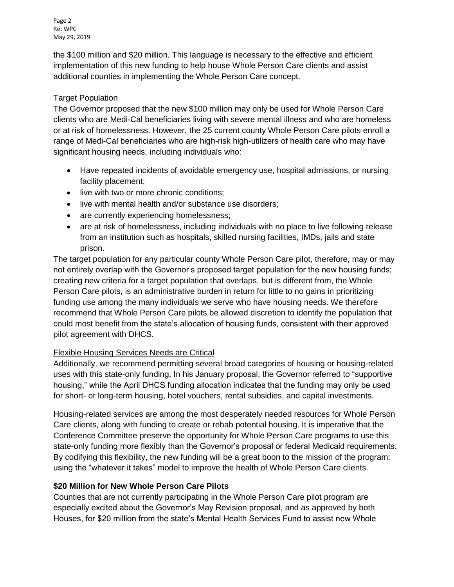Page 2 Re: WPC May 29, 2019

the \$100 million and \$20 million. This language is necessary to the effective and efficient implementation of this new funding to help house Whole Person Care clients and assist additional counties in implementing the Whole Person Care concept.

## Target Population

The Governor proposed that the new \$100 million may only be used for Whole Person Care clients who are Medi-Cal beneficiaries living with severe mental illness and who are homeless or at risk of homelessness. However, the 25 current county Whole Person Care pilots enroll a range of Medi-Cal beneficiaries who are high-risk high-utilizers of health care who may have significant housing needs, including individuals who:

- Have repeated incidents of avoidable emergency use, hospital admissions, or nursing facility placement;
- live with two or more chronic conditions;
- live with mental health and/or substance use disorders;
- are currently experiencing homelessness;
- are at risk of homelessness, including individuals with no place to live following release from an institution such as hospitals, skilled nursing facilities, IMDs, jails and state prison.

The target population for any particular county Whole Person Care pilot, therefore, may or may not entirely overlap with the Governor's proposed target population for the new housing funds; creating new criteria for a target population that overlaps, but is different from, the Whole Person Care pilots, is an administrative burden in return for little to no gains in prioritizing funding use among the many individuals we serve who have housing needs. We therefore recommend that Whole Person Care pilots be allowed discretion to identify the population that could most benefit from the state's allocation of housing funds, consistent with their approved pilot agreement with DHCS.

### Flexible Housing Services Needs are Critical

Additionally, we recommend permitting several broad categories of housing or housing-related uses with this state-only funding. In his January proposal, the Governor referred to "supportive housing," while the April DHCS funding allocation indicates that the funding may only be used for short- or long-term housing, hotel vouchers, rental subsidies, and capital investments.

Housing-related services are among the most desperately needed resources for Whole Person Care clients, along with funding to create or rehab potential housing. It is imperative that the Conference Committee preserve the opportunity for Whole Person Care programs to use this state-only funding more flexibly than the Governor's proposal or federal Medicaid requirements. By codifying this flexibility, the new funding will be a great boon to the mission of the program: using the "whatever it takes" model to improve the health of Whole Person Care clients.

# **\$20 Million for New Whole Person Care Pilots**

Counties that are not currently participating in the Whole Person Care pilot program are especially excited about the Governor's May Revision proposal, and as approved by both Houses, for \$20 million from the state's Mental Health Services Fund to assist new Whole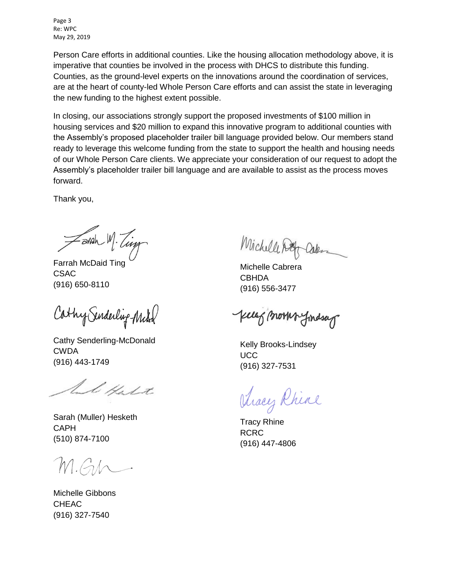Page 3 Re: WPC May 29, 2019

Person Care efforts in additional counties. Like the housing allocation methodology above, it is imperative that counties be involved in the process with DHCS to distribute this funding. Counties, as the ground-level experts on the innovations around the coordination of services, are at the heart of county-led Whole Person Care efforts and can assist the state in leveraging the new funding to the highest extent possible.

In closing, our associations strongly support the proposed investments of \$100 million in housing services and \$20 million to expand this innovative program to additional counties with the Assembly's proposed placeholder trailer bill language provided below. Our members stand ready to leverage this welcome funding from the state to support the health and housing needs of our Whole Person Care clients. We appreciate your consideration of our request to adopt the Assembly's placeholder trailer bill language and are available to assist as the process moves forward.

Thank you,

=arah M. Ting

Farrah McDaid Ting CSAC (916) 650-8110

Cathy Senderling-Michel

Cathy Senderling-McDonald CWDA (916) 443-1749

l Hast

Sarah (Muller) Hesketh CAPH (510) 874-7100

M.G.h

Michelle Gibbons CHEAC (916) 327-7540

Michell Don

Michelle Cabrera **CBHDA** (916) 556-3477

clef (north findsag

Kelly Brooks-Lindsey **UCC** (916) 327-7531

Aracy Rhine

Tracy Rhine RCRC (916) 447-4806